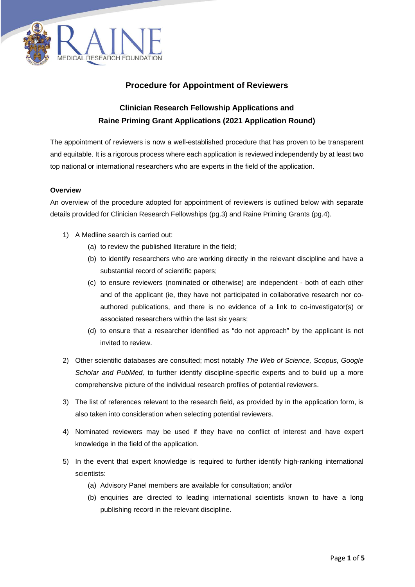

## **Procedure for Appointment of Reviewers**

# **Clinician Research Fellowship Applications and Raine Priming Grant Applications (2021 Application Round)**

The appointment of reviewers is now a well-established procedure that has proven to be transparent and equitable. It is a rigorous process where each application is reviewed independently by at least two top national or international researchers who are experts in the field of the application.

#### **Overview**

An overview of the procedure adopted for appointment of reviewers is outlined below with separate details provided for Clinician Research Fellowships (pg.3) and Raine Priming Grants (pg.4).

- 1) A Medline search is carried out:
	- (a) to review the published literature in the field;
	- (b) to identify researchers who are working directly in the relevant discipline and have a substantial record of scientific papers;
	- (c) to ensure reviewers (nominated or otherwise) are independent both of each other and of the applicant (ie, they have not participated in collaborative research nor coauthored publications, and there is no evidence of a link to co-investigator(s) or associated researchers within the last six years;
	- (d) to ensure that a researcher identified as "do not approach" by the applicant is not invited to review.
- 2) Other scientific databases are consulted; most notably *The Web of Science, Scopus, Google Scholar and PubMed,* to further identify discipline-specific experts and to build up a more comprehensive picture of the individual research profiles of potential reviewers.
- 3) The list of references relevant to the research field, as provided by in the application form, is also taken into consideration when selecting potential reviewers.
- 4) Nominated reviewers may be used if they have no conflict of interest and have expert knowledge in the field of the application.
- 5) In the event that expert knowledge is required to further identify high-ranking international scientists:
	- (a) Advisory Panel members are available for consultation; and/or
	- (b) enquiries are directed to leading international scientists known to have a long publishing record in the relevant discipline.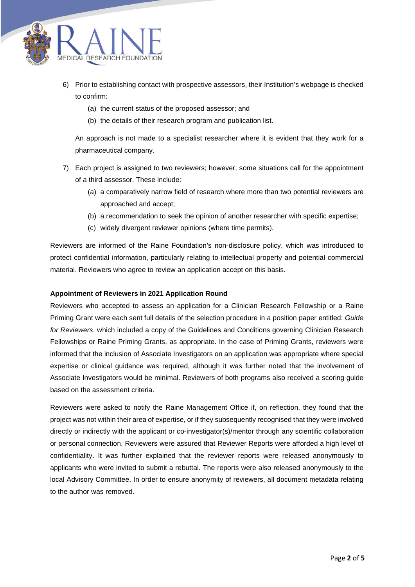

- 6) Prior to establishing contact with prospective assessors, their Institution's webpage is checked to confirm:
	- (a) the current status of the proposed assessor; and
	- (b) the details of their research program and publication list.

An approach is not made to a specialist researcher where it is evident that they work for a pharmaceutical company.

- 7) Each project is assigned to two reviewers; however, some situations call for the appointment of a third assessor. These include:
	- (a) a comparatively narrow field of research where more than two potential reviewers are approached and accept;
	- (b) a recommendation to seek the opinion of another researcher with specific expertise;
	- (c) widely divergent reviewer opinions (where time permits).

Reviewers are informed of the Raine Foundation's non-disclosure policy, which was introduced to protect confidential information, particularly relating to intellectual property and potential commercial material. Reviewers who agree to review an application accept on this basis.

#### **Appointment of Reviewers in 2021 Application Round**

Reviewers who accepted to assess an application for a Clinician Research Fellowship or a Raine Priming Grant were each sent full details of the selection procedure in a position paper entitled: *Guide for Reviewers*, which included a copy of the Guidelines and Conditions governing Clinician Research Fellowships or Raine Priming Grants, as appropriate. In the case of Priming Grants, reviewers were informed that the inclusion of Associate Investigators on an application was appropriate where special expertise or clinical guidance was required, although it was further noted that the involvement of Associate Investigators would be minimal. Reviewers of both programs also received a scoring guide based on the assessment criteria.

Reviewers were asked to notify the Raine Management Office if, on reflection, they found that the project was not within their area of expertise, or if they subsequently recognised that they were involved directly or indirectly with the applicant or co-investigator(s)/mentor through any scientific collaboration or personal connection. Reviewers were assured that Reviewer Reports were afforded a high level of confidentiality. It was further explained that the reviewer reports were released anonymously to applicants who were invited to submit a rebuttal. The reports were also released anonymously to the local Advisory Committee. In order to ensure anonymity of reviewers, all document metadata relating to the author was removed.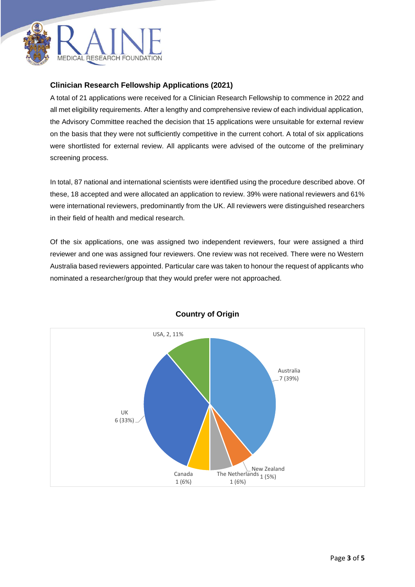

## **Clinician Research Fellowship Applications (2021)**

A total of 21 applications were received for a Clinician Research Fellowship to commence in 2022 and all met eligibility requirements. After a lengthy and comprehensive review of each individual application, the Advisory Committee reached the decision that 15 applications were unsuitable for external review on the basis that they were not sufficiently competitive in the current cohort. A total of six applications were shortlisted for external review. All applicants were advised of the outcome of the preliminary screening process.

In total, 87 national and international scientists were identified using the procedure described above. Of these, 18 accepted and were allocated an application to review. 39% were national reviewers and 61% were international reviewers, predominantly from the UK. All reviewers were distinguished researchers in their field of health and medical research.

Of the six applications, one was assigned two independent reviewers, four were assigned a third reviewer and one was assigned four reviewers. One review was not received. There were no Western Australia based reviewers appointed. Particular care was taken to honour the request of applicants who nominated a researcher/group that they would prefer were not approached.



## **Country of Origin**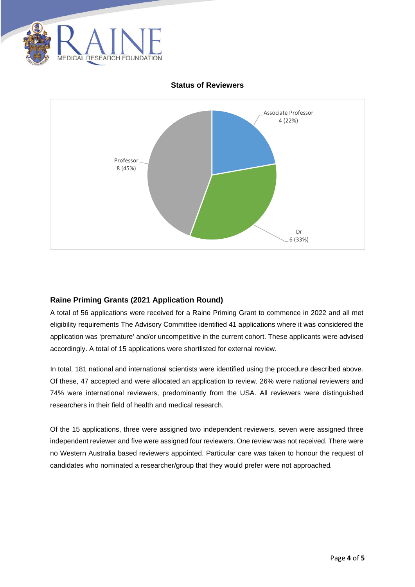

#### **Status of Reviewers**



## **Raine Priming Grants (2021 Application Round)**

A total of 56 applications were received for a Raine Priming Grant to commence in 2022 and all met eligibility requirements The Advisory Committee identified 41 applications where it was considered the application was 'premature' and/or uncompetitive in the current cohort. These applicants were advised accordingly. A total of 15 applications were shortlisted for external review.

In total, 181 national and international scientists were identified using the procedure described above. Of these, 47 accepted and were allocated an application to review. 26% were national reviewers and 74% were international reviewers, predominantly from the USA. All reviewers were distinguished researchers in their field of health and medical research.

Of the 15 applications, three were assigned two independent reviewers, seven were assigned three independent reviewer and five were assigned four reviewers. One review was not received. There were no Western Australia based reviewers appointed. Particular care was taken to honour the request of candidates who nominated a researcher/group that they would prefer were not approached*.*